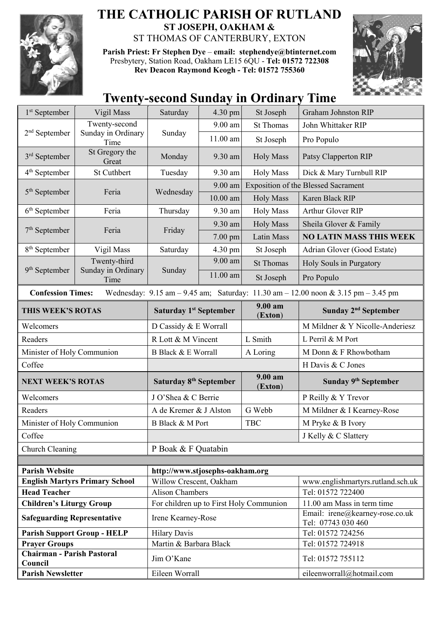

## **THE CATHOLIC PARISH OF RUTLAND ST JOSEPH, OAKHAM &**  ST THOMAS OF CANTERBURY, EXTON

**Parish Priest: Fr Stephen Dye** – **[email: stephendye@btinternet.com](mailto:email:%20%20stephendye@btinternet.com)** Presbytery, Station Road, Oakham LE15 6QU - **Tel: 01572 722308 Rev Deacon Raymond Keogh - Tel: 01572 755360**



## **Twenty-second Sunday in Ordinary Time**

| Vigil Mass                                                              | Saturday                                                                                                                                                                                             | $4.30 \text{ pm}$ | St Joseph                                                                           | <b>Graham Johnston RIP</b>                                                                                                                                                         |  |
|-------------------------------------------------------------------------|------------------------------------------------------------------------------------------------------------------------------------------------------------------------------------------------------|-------------------|-------------------------------------------------------------------------------------|------------------------------------------------------------------------------------------------------------------------------------------------------------------------------------|--|
| Twenty-second<br>$2nd$ September                                        |                                                                                                                                                                                                      | 9.00 am           | <b>St Thomas</b>                                                                    | John Whittaker RIP                                                                                                                                                                 |  |
| Time                                                                    |                                                                                                                                                                                                      | 11.00 am          | St Joseph                                                                           | Pro Populo                                                                                                                                                                         |  |
| St Gregory the<br>Great                                                 | Monday                                                                                                                                                                                               | 9.30 am           | <b>Holy Mass</b>                                                                    | Patsy Clapperton RIP                                                                                                                                                               |  |
| St Cuthbert                                                             | Tuesday                                                                                                                                                                                              | 9.30 am           | <b>Holy Mass</b>                                                                    | Dick & Mary Turnbull RIP                                                                                                                                                           |  |
| $5th$ September<br>Feria                                                | Wednesday                                                                                                                                                                                            | $9.00$ am         | <b>Exposition of the Blessed Sacrament</b>                                          |                                                                                                                                                                                    |  |
|                                                                         |                                                                                                                                                                                                      | $10.00$ am        | <b>Holy Mass</b>                                                                    | Karen Black RIP                                                                                                                                                                    |  |
| Feria                                                                   | Thursday                                                                                                                                                                                             | 9.30 am           | <b>Holy Mass</b>                                                                    | Arthur Glover RIP                                                                                                                                                                  |  |
|                                                                         | Friday                                                                                                                                                                                               | 9.30 am           | <b>Holy Mass</b>                                                                    | Sheila Glover & Family                                                                                                                                                             |  |
|                                                                         |                                                                                                                                                                                                      | 7.00 pm           | Latin Mass                                                                          | <b>NO LATIN MASS THIS WEEK</b>                                                                                                                                                     |  |
| Vigil Mass                                                              | Saturday                                                                                                                                                                                             | 4.30 pm           | St Joseph                                                                           | Adrian Glover (Good Estate)                                                                                                                                                        |  |
| Twenty-third<br>9 <sup>th</sup> September<br>Sunday in Ordinary<br>Time | Sunday                                                                                                                                                                                               | 9.00 am           | <b>St Thomas</b>                                                                    | Holy Souls in Purgatory                                                                                                                                                            |  |
|                                                                         |                                                                                                                                                                                                      | 11.00 am          | St Joseph                                                                           | Pro Populo                                                                                                                                                                         |  |
|                                                                         |                                                                                                                                                                                                      |                   |                                                                                     |                                                                                                                                                                                    |  |
|                                                                         | Saturday 1 <sup>st</sup> September                                                                                                                                                                   |                   | 9.00 am<br>(Exton)                                                                  | Sunday 2 <sup>nd</sup> September                                                                                                                                                   |  |
|                                                                         | D Cassidy & E Worrall                                                                                                                                                                                |                   |                                                                                     | M Mildner & Y Nicolle-Anderiesz                                                                                                                                                    |  |
|                                                                         | R Lott & M Vincent                                                                                                                                                                                   |                   | L Smith                                                                             | L Perril & M Port                                                                                                                                                                  |  |
|                                                                         | B Black & E Worrall                                                                                                                                                                                  |                   | A Loring                                                                            | M Donn & F Rhowbotham                                                                                                                                                              |  |
|                                                                         |                                                                                                                                                                                                      |                   |                                                                                     | H Davis & C Jones                                                                                                                                                                  |  |
| <b>NEXT WEEK'S ROTAS</b>                                                |                                                                                                                                                                                                      | 9.00 am           |                                                                                     | Sunday 9 <sup>th</sup> September                                                                                                                                                   |  |
|                                                                         |                                                                                                                                                                                                      |                   |                                                                                     |                                                                                                                                                                                    |  |
|                                                                         |                                                                                                                                                                                                      |                   |                                                                                     | P Reilly & Y Trevor                                                                                                                                                                |  |
|                                                                         |                                                                                                                                                                                                      |                   |                                                                                     | M Mildner & I Kearney-Rose                                                                                                                                                         |  |
|                                                                         | <b>B</b> Black & M Port                                                                                                                                                                              |                   |                                                                                     | M Pryke & B Ivory                                                                                                                                                                  |  |
|                                                                         |                                                                                                                                                                                                      |                   |                                                                                     | J Kelly & C Slattery                                                                                                                                                               |  |
|                                                                         | P Boak & F Quatabin                                                                                                                                                                                  |                   |                                                                                     |                                                                                                                                                                                    |  |
|                                                                         |                                                                                                                                                                                                      |                   |                                                                                     |                                                                                                                                                                                    |  |
|                                                                         | www.englishmartyrs.rutland.sch.uk                                                                                                                                                                    |                   |                                                                                     |                                                                                                                                                                                    |  |
|                                                                         |                                                                                                                                                                                                      |                   |                                                                                     |                                                                                                                                                                                    |  |
|                                                                         |                                                                                                                                                                                                      |                   |                                                                                     |                                                                                                                                                                                    |  |
|                                                                         | <b>Alison Chambers</b>                                                                                                                                                                               |                   |                                                                                     | Tel: 01572 722400                                                                                                                                                                  |  |
| <b>Children's Liturgy Group</b><br><b>Safeguarding Representative</b>   | For children up to First Holy Communion<br>Irene Kearney-Rose                                                                                                                                        |                   |                                                                                     | 11.00 am Mass in term time<br>Email: irene@kearney-rose.co.uk                                                                                                                      |  |
|                                                                         |                                                                                                                                                                                                      |                   |                                                                                     | Tel: 07743 030 460<br>Tel: 01572 724256                                                                                                                                            |  |
| <b>Parish Support Group - HELP</b>                                      | <b>Hilary Davis</b><br>Martin & Barbara Black                                                                                                                                                        |                   |                                                                                     | Tel: 01572 724918                                                                                                                                                                  |  |
| <b>Chairman - Parish Pastoral</b>                                       | Jim O'Kane                                                                                                                                                                                           |                   |                                                                                     | Tel: 01572 755112                                                                                                                                                                  |  |
|                                                                         | Sunday in Ordinary<br>Feria<br><b>Confession Times:</b><br>THIS WEEK'S ROTAS<br>Minister of Holy Communion<br>Minister of Holy Communion<br>Church Cleaning<br><b>English Martyrs Primary School</b> | Sunday            | Saturday 8 <sup>th</sup> September<br>J O'Shea & C Berrie<br>A de Kremer & J Alston | Wednesday: 9.15 am - 9.45 am; Saturday: 11.30 am - 12.00 noon & 3.15 pm - 3.45 pm<br>(Exton)<br>G Webb<br><b>TBC</b><br>http://www.stjosephs-oakham.org<br>Willow Crescent, Oakham |  |